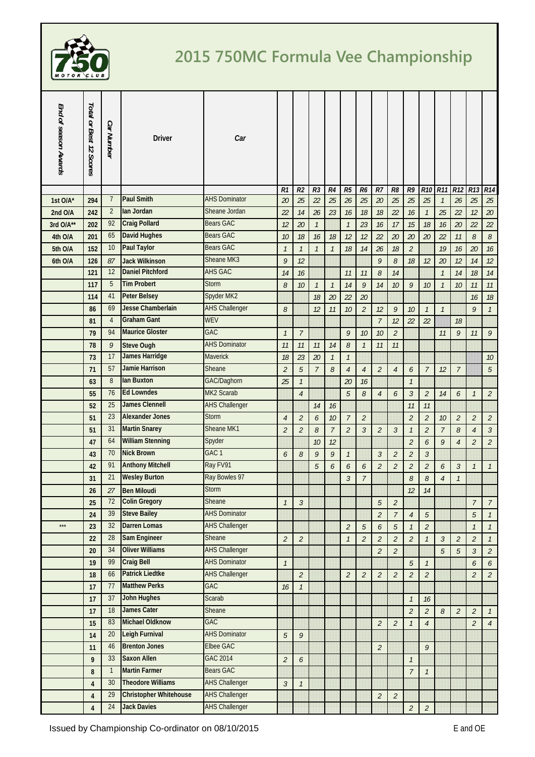

## **2015 750MC Formula Vee Championship**

| End of season Awards | Total or Best 12 Scores | <b>Car Number</b>    | <b>Driver</b>                                    | Car                               |                |                |                     |                     |                             |                |                             |                |                             |                |                           |                             |                             |                |
|----------------------|-------------------------|----------------------|--------------------------------------------------|-----------------------------------|----------------|----------------|---------------------|---------------------|-----------------------------|----------------|-----------------------------|----------------|-----------------------------|----------------|---------------------------|-----------------------------|-----------------------------|----------------|
|                      |                         |                      |                                                  |                                   | R1             | R <sub>2</sub> | R3                  | R4                  | R5                          | R <sub>6</sub> | $R$ 7                       | R8             | R9                          | <b>R10</b>     | <b>R11</b>                | R12                         | R13                         | R14            |
| 1st O/A*             | 294                     | $\overline{7}$       | <b>Paul Smith</b><br>lan Jordan                  | <b>AHS Dominator</b>              | 20             | 25             | 22                  | 25                  | 26                          | 25             | 20                          | 25             | 25                          | 25             | $\overline{\mathfrak{1}}$ | 26                          | 25                          | 25             |
| 2nd O/A              | 242                     | $\overline{2}$<br>92 | <b>Craig Pollard</b>                             | Sheane Jordan<br><b>Bears GAC</b> | 22             | 14             | 26                  | 23                  | 16                          | 18             | 18                          | 22             | $16$                        | $\mathcal{I}$  | 25                        | 22                          | 12                          | 20             |
| 3rd O/A**            | 202                     | 65                   | <b>David Hughes</b>                              | <b>Bears GAC</b>                  | 12             | 20             | $\mathcal{I}$       |                     | $\mathcal{I}$               | 23             | 16                          | 17             | 15                          | 18             | 16                        | 20                          | 22                          | 22             |
| 4th O/A              | 201                     | 10                   | <b>Paul Taylor</b>                               | <b>Bears GAC</b>                  | $10$           | 18             | 16                  | 18                  | 12                          | 12             | 22                          | 20             | 20                          | 20             | 22                        | 11                          | 8                           | $\mathcal S$   |
| 5th O/A              | 152                     |                      |                                                  | Sheane MK3                        | $\mathcal{I}$  | $\mathcal{I}$  | $\mathcal{I}$       | $\overline{1}$      | 18                          | 14             | 26                          | 18             | $\overline{2}$              |                | 19                        | 16                          | 20                          | $16$           |
| 6th O/A              | 126                     | 87<br>12             | <b>Jack Wilkinson</b><br><b>Daniel Pitchford</b> | <b>AHS GAC</b>                    | 9              | 12             |                     |                     |                             |                | 9                           | 8              | 18                          | 12             | 20                        | 12                          | 14                          | 12             |
|                      | 121                     | 5                    | <b>Tim Probert</b>                               | <b>Storm</b>                      | 14             | 16             |                     |                     | 11                          | 11             | 8                           | 14             |                             |                | $\mathcal{I}$             | 14                          | 18                          | 14             |
|                      | 117<br>114              | 41                   | <b>Peter Belsey</b>                              | Spyder MK2                        | 8              | 10             | $\mathcal{I}$<br>18 | $\mathcal{I}$<br>20 | 14<br>22                    | 9<br>20        | 14                          | 10             | 9                           | 10             | $\mathcal{I}$             | 10                          | 11<br>16                    | 11<br>$18$     |
|                      | 86                      | 69                   | Jesse Chamberlain                                | <b>AHS Challenger</b>             | 8              |                | 12                  | 11                  | 10                          | $\overline{2}$ | 12                          | 9              | 10                          | $\mathcal{I}$  | $\mathcal{I}$             |                             | $\mathcal{G}$               | $\mathcal{I}$  |
|                      | 81                      | $\overline{4}$       | <b>Graham Gant</b>                               | <b>WEV</b>                        |                |                |                     |                     |                             |                | $\overline{7}$              | 12             | 22                          | 22             |                           | 18                          |                             |                |
|                      | 79                      | 94                   | <b>Maurice Gloster</b>                           | GAC                               | $\mathcal{I}$  | $\overline{7}$ |                     |                     | $\boldsymbol{g}$            | 10             | 10                          | $\overline{a}$ |                             |                | 11                        | 9                           | 11                          | 9              |
|                      | 78                      | 9                    | <b>Steve Ough</b>                                | <b>AHS Dominator</b>              | 11             | 11             | 11                  | 14                  | 8                           | $\mathcal{I}$  | 11                          | 11             |                             |                |                           |                             |                             |                |
|                      | 73                      | 17                   | <b>James Harridge</b>                            | Maverick                          | $18$           | 23             | 20                  | $\mathcal{I}$       | $\mathcal{I}$               |                |                             |                |                             |                |                           |                             |                             | $10$           |
|                      | 71                      | 57                   | <b>Jamie Harrison</b>                            | Sheane                            | $\overline{a}$ | 5              | $\overline{7}$      | 8                   | $\overline{4}$              | $\overline{4}$ | $\overline{2}$              | $\overline{4}$ | 6                           | $\overline{7}$ | 12                        | $\overline{7}$              |                             | $\sqrt{5}$     |
|                      | 63                      | 8                    | lan Buxton                                       | GAC/Daghorn                       | 25             | $\mathcal{I}$  |                     |                     | 20                          | 16             |                             |                | $\mathcal{I}$               |                |                           |                             |                             |                |
|                      | 55                      | 76                   | <b>Ed Lowndes</b>                                | MK2 Scarab                        |                | $\overline{4}$ |                     |                     | 5                           | 8              | $\overline{4}$              | 6              | $\mathfrak{Z}$              | $\overline{2}$ | 14                        | 6                           | $\mathcal{I}$               | $\overline{2}$ |
|                      | 52                      | 25                   | <b>James Clennell</b>                            | <b>AHS Challenger</b>             |                |                | 14                  | 16                  |                             |                |                             |                | 11                          | 11             |                           |                             |                             |                |
|                      | 51                      | 23                   | <b>Alexander Jones</b>                           | <b>Storm</b>                      | $\overline{4}$ | $\overline{2}$ | 6                   | 10                  | $\overline{7}$              | $\overline{2}$ |                             |                | $\overline{2}$              | $\mathfrak{2}$ | 10                        | $\mathcal{L}_{\mathcal{L}}$ | $\overline{2}$              | $\overline{2}$ |
|                      | 51                      | 31                   | <b>Martin Snarey</b>                             | Sheane MK1                        | $\overline{a}$ | $\overline{2}$ | 8                   | $\overline{7}$      | $\overline{a}$              | $\mathfrak{Z}$ | $\overline{2}$              | $\mathfrak{Z}$ | $\mathcal{I}$               | $\overline{c}$ | $\overline{7}$            | 8                           | $\overline{4}$              | $\mathfrak{Z}$ |
|                      | 47                      | 64                   | <b>William Stenning</b>                          | Spyder                            |                |                | 10                  | 12                  |                             |                |                             |                | $\overline{2}$              | 6              | 9                         | $\overline{4}$              | $\overline{2}$              | $\overline{c}$ |
|                      | 43                      | 70                   | <b>Nick Brown</b>                                | GAC <sub>1</sub>                  | 6              | 8              | 9                   | 9                   | $\mathcal{I}$               |                | $\mathfrak{Z}$              | 2              | $\overline{2}$              | $\mathfrak{Z}$ |                           |                             |                             |                |
|                      | 42                      | 91                   | <b>Anthony Mitchell</b>                          | Ray FV91                          |                |                | $\sqrt{5}$          | 6                   | 6                           | 6              | $\overline{2}$              | $\overline{a}$ | $\overline{2}$              | $\overline{2}$ | 6                         | $\mathfrak{Z}$              | $\mathcal{I}$               | $\mathcal{I}$  |
|                      | 31                      | 21                   | <b>Wesley Burton</b>                             | Ray Bowles 97                     |                |                |                     |                     | $\mathfrak{Z}$              | $\overline{7}$ |                             |                | 8                           | 8              | $\sqrt{4}$                | $\mathcal{I}$               |                             |                |
|                      | 26                      | 27                   | <b>Ben Miloudi</b>                               | <b>Storm</b>                      |                |                |                     |                     |                             |                |                             |                | 12                          | 14             |                           |                             |                             |                |
|                      | 25                      | 72                   | <b>Colin Gregory</b>                             | Sheane                            | $\mathcal{I}$  | $\mathfrak{Z}$ |                     |                     |                             |                | 5                           | $\overline{a}$ |                             |                |                           |                             | 7                           | $\overline{7}$ |
|                      | 24                      | 39                   | <b>Steve Bailey</b>                              | <b>AHS Dominator</b>              |                |                |                     |                     |                             |                | $\mathbf{2}$                | $\overline{7}$ | $\overline{4}$              | $\sqrt{5}$     |                           |                             | $\overline{5}$              | $\mathcal{I}$  |
| $***$                | 23                      | 32                   | <b>Darren Lomas</b>                              | <b>AHS Challenger</b>             |                |                |                     |                     | $\mathcal{L}_{\mathcal{L}}$ | $\overline{5}$ | 6                           | 5              | $\mathcal{I}$               | $\overline{2}$ |                           |                             | $\mathcal{I}$               | $\mathcal{I}$  |
|                      | 22                      | 28                   | <b>Sam Engineer</b>                              | Sheane                            | $\overline{a}$ | $\overline{2}$ |                     |                     | $\mathcal{I}$               | $\overline{2}$ | $\overline{2}$              | $\overline{a}$ | $\overline{2}$              | $\mathcal{I}$  | $\mathfrak{Z}$            | $\mathcal{L}_{\mathcal{L}}$ | $\mathfrak{2}$              | $\mathcal{I}$  |
|                      | 20                      | 34                   | <b>Oliver Williams</b>                           | <b>AHS Challenger</b>             |                |                |                     |                     |                             |                | $\overline{2}$              | $\overline{a}$ |                             |                | 5                         | 5                           | $\mathfrak{Z}$              | $\overline{2}$ |
|                      | 19                      | 99                   | <b>Craig Bell</b>                                | <b>AHS Dominator</b>              | $\mathcal{I}$  |                |                     |                     |                             |                |                             |                | $\sqrt{5}$                  | $\mathcal{I}$  |                           |                             | 6                           | 6              |
|                      | 18                      | 66                   | <b>Patrick Liedtke</b>                           | <b>AHS Challenger</b>             |                | $\overline{2}$ |                     |                     | $\mathcal{L}_{\mathcal{L}}$ | $\overline{2}$ | $\overline{2}$              | $\overline{2}$ | $\overline{2}$              | $\overline{2}$ |                           |                             | $\overline{2}$              | $\overline{2}$ |
|                      | 17                      | 77                   | <b>Matthew Perks</b>                             | GAC                               | 16             | $\mathcal{I}$  |                     |                     |                             |                |                             |                |                             |                |                           |                             |                             |                |
|                      | 17                      | 37                   | <b>John Hughes</b>                               | Scarab                            |                |                |                     |                     |                             |                |                             |                | $\mathcal{I}$               | 16             |                           |                             |                             |                |
|                      | 17                      | 18                   | <b>James Cater</b>                               | Sheane                            |                |                |                     |                     |                             |                |                             |                | $\mathcal{L}_{\mathcal{L}}$ | $\mathfrak{2}$ | 8                         | $\mathcal{L}_{\mathcal{L}}$ | $\mathcal{L}_{\mathcal{L}}$ | $\mathcal{I}$  |
|                      | 15                      | 83                   | <b>Michael Oldknow</b>                           | <b>GAC</b>                        |                |                |                     |                     |                             |                | $\overline{2}$              | $\overline{2}$ | $\mathcal{I}$               | $\sqrt{4}$     |                           |                             | $\overline{2}$              | $\overline{4}$ |
|                      | 14                      | 20                   | Leigh Furnival                                   | <b>AHS Dominator</b>              | 5              | 9              |                     |                     |                             |                |                             |                |                             |                |                           |                             |                             |                |
|                      | 11                      | 46                   | <b>Brenton Jones</b>                             | Elbee GAC                         |                |                |                     |                     |                             |                | $\overline{2}$              |                |                             | 9              |                           |                             |                             |                |
|                      | 9                       | 33                   | <b>Saxon Allen</b>                               | <b>GAC 2014</b>                   | $\overline{2}$ | 6              |                     |                     |                             |                |                             |                | $\mathcal{I}$               |                |                           |                             |                             |                |
|                      | 8                       | $\mathbf{1}$         | <b>Martin Farmer</b>                             | <b>Bears GAC</b>                  |                |                |                     |                     |                             |                |                             |                | $\overline{7}$              | $\mathcal{I}$  |                           |                             |                             |                |
|                      | 4                       | 30                   | <b>Theodore Williams</b>                         | <b>AHS Challenger</b>             | $\mathfrak{Z}$ | $\mathcal{I}$  |                     |                     |                             |                |                             |                |                             |                |                           |                             |                             |                |
|                      | $\overline{\mathbf{4}}$ | 29                   | <b>Christopher Whitehouse</b>                    | <b>AHS Challenger</b>             |                |                |                     |                     |                             |                | $\mathcal{L}_{\mathcal{L}}$ | $\overline{a}$ |                             |                |                           |                             |                             |                |
|                      | 4                       | 24                   | <b>Jack Davies</b>                               | <b>AHS Challenger</b>             |                |                |                     |                     |                             |                |                             |                | $\mathcal{L}_{\mathcal{L}}$ | $\hat{Z}$      |                           |                             |                             |                |